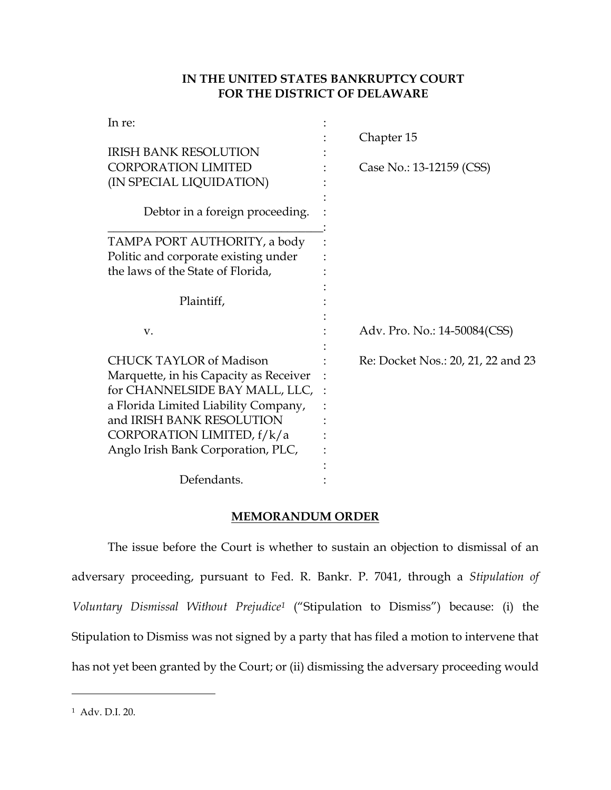## **IN THE UNITED STATES BANKRUPTCY COURT FOR THE DISTRICT OF DELAWARE**

| In re:                                 | Chapter 15                         |
|----------------------------------------|------------------------------------|
| <b>IRISH BANK RESOLUTION</b>           |                                    |
| CORPORATION LIMITED                    | Case No.: 13-12159 (CSS)           |
| (IN SPECIAL LIQUIDATION)               |                                    |
| Debtor in a foreign proceeding.        |                                    |
| TAMPA PORT AUTHORITY, a body           |                                    |
| Politic and corporate existing under   |                                    |
| the laws of the State of Florida,      |                                    |
| Plaintiff,                             |                                    |
| V.                                     | Adv. Pro. No.: 14-50084(CSS)       |
| <b>CHUCK TAYLOR of Madison</b>         | Re: Docket Nos.: 20, 21, 22 and 23 |
| Marquette, in his Capacity as Receiver |                                    |
| for CHANNELSIDE BAY MALL, LLC,         |                                    |
| a Florida Limited Liability Company,   |                                    |
| and IRISH BANK RESOLUTION              |                                    |
| CORPORATION LIMITED, $f/k/a$           |                                    |
| Anglo Irish Bank Corporation, PLC,     |                                    |
|                                        |                                    |
| Defendants.                            |                                    |

### **MEMORANDUM ORDER**

The issue before the Court is whether to sustain an objection to dismissal of an adversary proceeding, pursuant to Fed. R. Bankr. P. 7041, through a *Stipulation of Voluntary Dismissal Without Prejudice<sup>1</sup>* ("Stipulation to Dismiss") because: (i) the Stipulation to Dismiss was not signed by a party that has filed a motion to intervene that has not yet been granted by the Court; or (ii) dismissing the adversary proceeding would

<sup>1</sup> Adv. D.I. 20.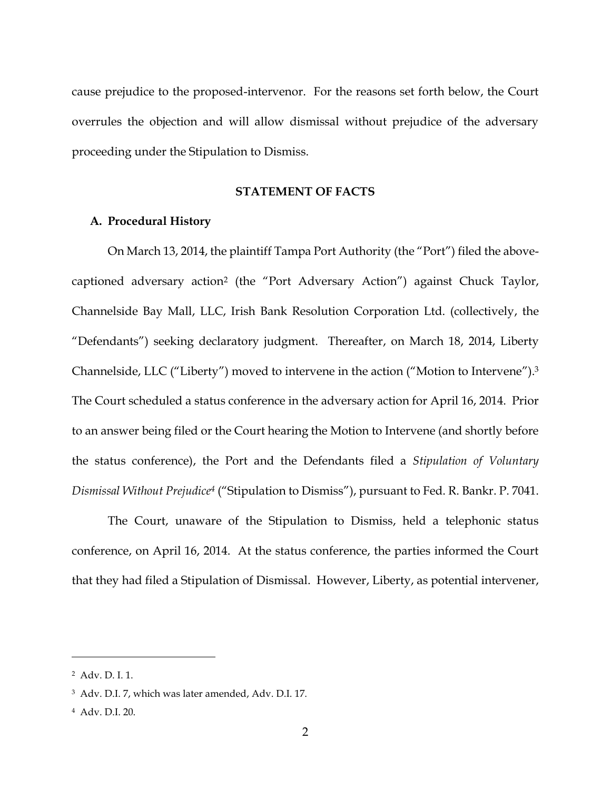cause prejudice to the proposed-intervenor. For the reasons set forth below, the Court overrules the objection and will allow dismissal without prejudice of the adversary proceeding under the Stipulation to Dismiss.

#### **STATEMENT OF FACTS**

#### **A. Procedural History**

On March 13, 2014, the plaintiff Tampa Port Authority (the "Port") filed the abovecaptioned adversary action<sup>2</sup> (the "Port Adversary Action") against Chuck Taylor, Channelside Bay Mall, LLC, Irish Bank Resolution Corporation Ltd. (collectively, the "Defendants") seeking declaratory judgment. Thereafter, on March 18, 2014, Liberty Channelside, LLC ("Liberty") moved to intervene in the action ("Motion to Intervene").<sup>3</sup> The Court scheduled a status conference in the adversary action for April 16, 2014. Prior to an answer being filed or the Court hearing the Motion to Intervene (and shortly before the status conference), the Port and the Defendants filed a *Stipulation of Voluntary Dismissal Without Prejudice<sup>4</sup>* ("Stipulation to Dismiss"), pursuant to Fed. R. Bankr. P. 7041.

The Court, unaware of the Stipulation to Dismiss, held a telephonic status conference, on April 16, 2014. At the status conference, the parties informed the Court that they had filed a Stipulation of Dismissal. However, Liberty, as potential intervener,

<sup>2</sup> Adv. D. I. 1.

<sup>3</sup> Adv. D.I. 7, which was later amended, Adv. D.I. 17.

<sup>4</sup> Adv. D.I. 20.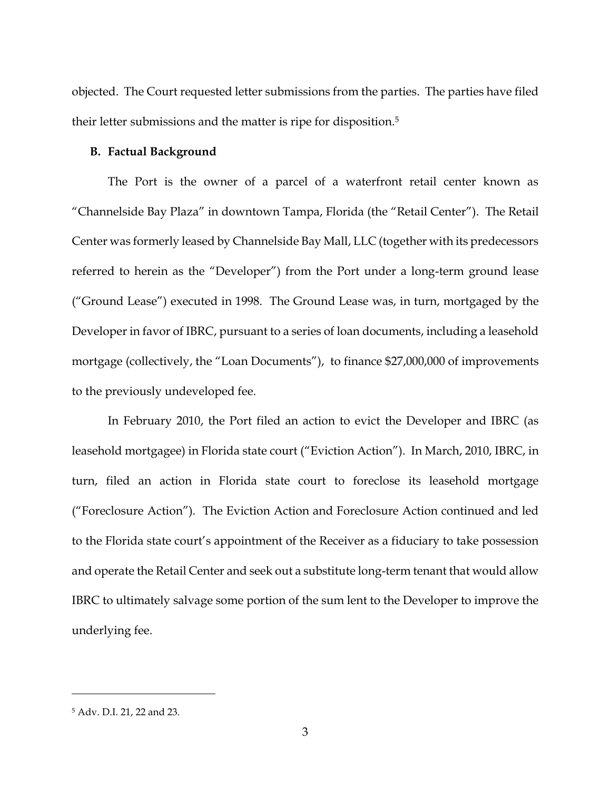objected. The Court requested letter submissions from the parties. The parties have filed their letter submissions and the matter is ripe for disposition. 5

#### **B. Factual Background**

The Port is the owner of a parcel of a waterfront retail center known as "Channelside Bay Plaza" in downtown Tampa, Florida (the "Retail Center"). The Retail Center was formerly leased by Channelside Bay Mall, LLC (together with its predecessors referred to herein as the "Developer") from the Port under a long-term ground lease ("Ground Lease") executed in 1998. The Ground Lease was, in turn, mortgaged by the Developer in favor of IBRC, pursuant to a series of loan documents, including a leasehold mortgage (collectively, the "Loan Documents"), to finance \$27,000,000 of improvements to the previously undeveloped fee.

In February 2010, the Port filed an action to evict the Developer and IBRC (as leasehold mortgagee) in Florida state court ("Eviction Action"). In March, 2010, IBRC, in turn, filed an action in Florida state court to foreclose its leasehold mortgage ("Foreclosure Action"). The Eviction Action and Foreclosure Action continued and led to the Florida state court's appointment of the Receiver as a fiduciary to take possession and operate the Retail Center and seek out a substitute long-term tenant that would allow IBRC to ultimately salvage some portion of the sum lent to the Developer to improve the underlying fee.

<sup>5</sup> Adv. D.I. 21, 22 and 23.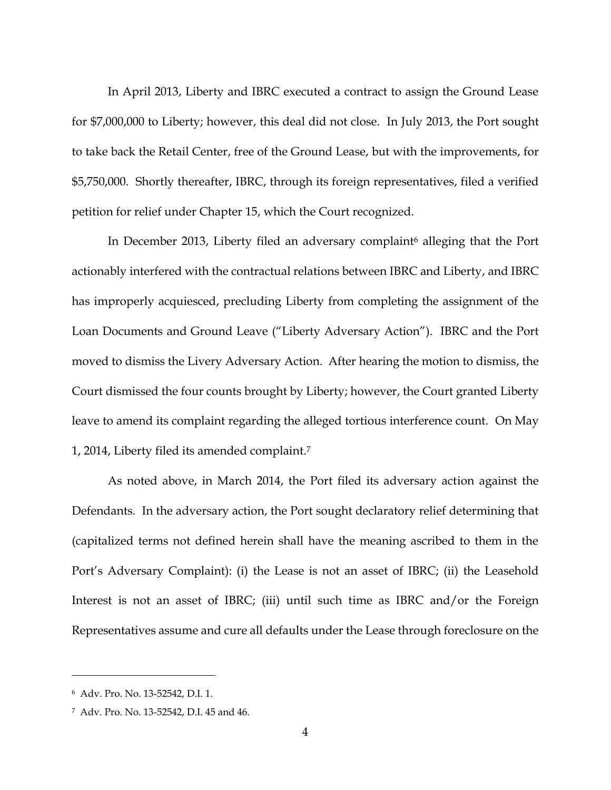In April 2013, Liberty and IBRC executed a contract to assign the Ground Lease for \$7,000,000 to Liberty; however, this deal did not close. In July 2013, the Port sought to take back the Retail Center, free of the Ground Lease, but with the improvements, for \$5,750,000. Shortly thereafter, IBRC, through its foreign representatives, filed a verified petition for relief under Chapter 15, which the Court recognized.

In December 2013, Liberty filed an adversary complaint<sup>6</sup> alleging that the Port actionably interfered with the contractual relations between IBRC and Liberty, and IBRC has improperly acquiesced, precluding Liberty from completing the assignment of the Loan Documents and Ground Leave ("Liberty Adversary Action"). IBRC and the Port moved to dismiss the Livery Adversary Action. After hearing the motion to dismiss, the Court dismissed the four counts brought by Liberty; however, the Court granted Liberty leave to amend its complaint regarding the alleged tortious interference count. On May 1, 2014, Liberty filed its amended complaint.<sup>7</sup>

As noted above, in March 2014, the Port filed its adversary action against the Defendants. In the adversary action, the Port sought declaratory relief determining that (capitalized terms not defined herein shall have the meaning ascribed to them in the Port's Adversary Complaint): (i) the Lease is not an asset of IBRC; (ii) the Leasehold Interest is not an asset of IBRC; (iii) until such time as IBRC and/or the Foreign Representatives assume and cure all defaults under the Lease through foreclosure on the

<sup>6</sup> Adv. Pro. No. 13-52542, D.I. 1.

<sup>7</sup> Adv. Pro. No. 13-52542, D.I. 45 and 46.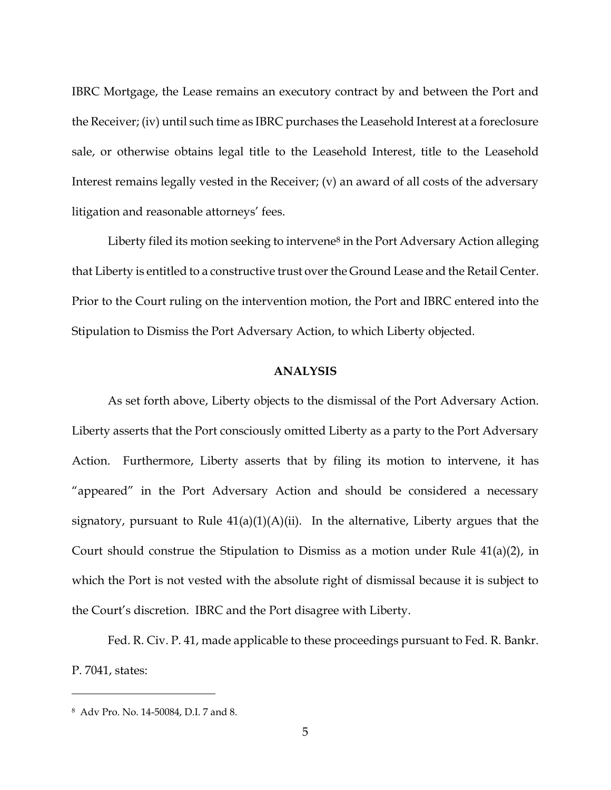IBRC Mortgage, the Lease remains an executory contract by and between the Port and the Receiver; (iv) until such time as IBRC purchases the Leasehold Interest at a foreclosure sale, or otherwise obtains legal title to the Leasehold Interest, title to the Leasehold Interest remains legally vested in the Receiver; (v) an award of all costs of the adversary litigation and reasonable attorneys' fees.

Liberty filed its motion seeking to intervene<sup>8</sup> in the Port Adversary Action alleging that Liberty is entitled to a constructive trust over the Ground Lease and the Retail Center. Prior to the Court ruling on the intervention motion, the Port and IBRC entered into the Stipulation to Dismiss the Port Adversary Action, to which Liberty objected.

#### **ANALYSIS**

As set forth above, Liberty objects to the dismissal of the Port Adversary Action. Liberty asserts that the Port consciously omitted Liberty as a party to the Port Adversary Action. Furthermore, Liberty asserts that by filing its motion to intervene, it has "appeared" in the Port Adversary Action and should be considered a necessary signatory, pursuant to Rule  $41(a)(1)(A)(ii)$ . In the alternative, Liberty argues that the Court should construe the Stipulation to Dismiss as a motion under Rule  $41(a)(2)$ , in which the Port is not vested with the absolute right of dismissal because it is subject to the Court's discretion. IBRC and the Port disagree with Liberty.

Fed. R. Civ. P. 41, made applicable to these proceedings pursuant to Fed. R. Bankr. P. 7041, states:

<sup>8</sup> Adv Pro. No. 14-50084, D.I. 7 and 8.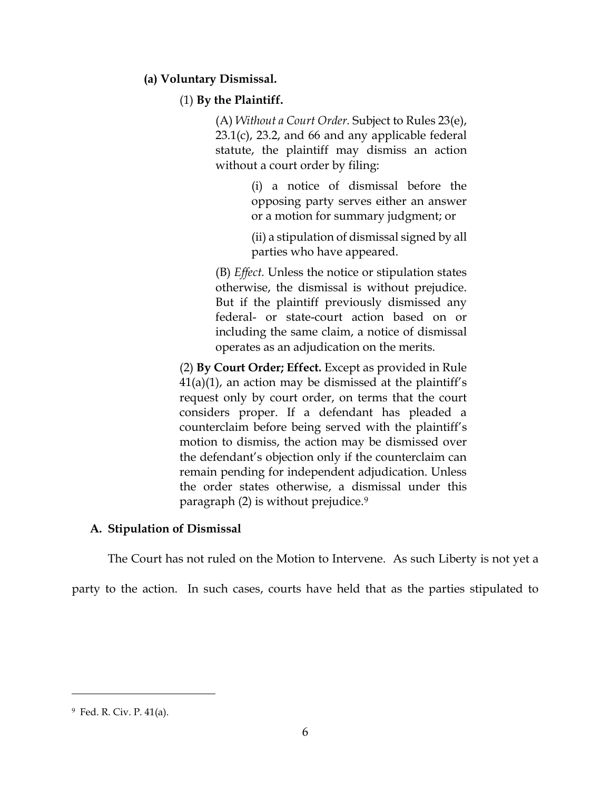## **(a) Voluntary Dismissal.**

## (1) **By the Plaintiff.**

(A) *Without a Court Order.* Subject to Rules 23(e),  $23.1(c)$ ,  $23.2$ , and 66 and any applicable federal statute, the plaintiff may dismiss an action without a court order by filing:

> (i) a notice of dismissal before the opposing party serves either an answer or a motion for summary judgment; or

> (ii) a stipulation of dismissal signed by all parties who have appeared.

(B) *Effect.* Unless the notice or stipulation states otherwise, the dismissal is without prejudice. But if the plaintiff previously dismissed any federal- or state-court action based on or including the same claim, a notice of dismissal operates as an adjudication on the merits.

(2) **By Court Order; Effect.** Except as provided in Rule  $41(a)(1)$ , an action may be dismissed at the plaintiff's request only by court order, on terms that the court considers proper. If a defendant has pleaded a counterclaim before being served with the plaintiff's motion to dismiss, the action may be dismissed over the defendant's objection only if the counterclaim can remain pending for independent adjudication. Unless the order states otherwise, a dismissal under this paragraph (2) is without prejudice.<sup>9</sup>

### **A. Stipulation of Dismissal**

The Court has not ruled on the Motion to Intervene. As such Liberty is not yet a

party to the action. In such cases, courts have held that as the parties stipulated to

<sup>9</sup> Fed. R. Civ. P. 41(a).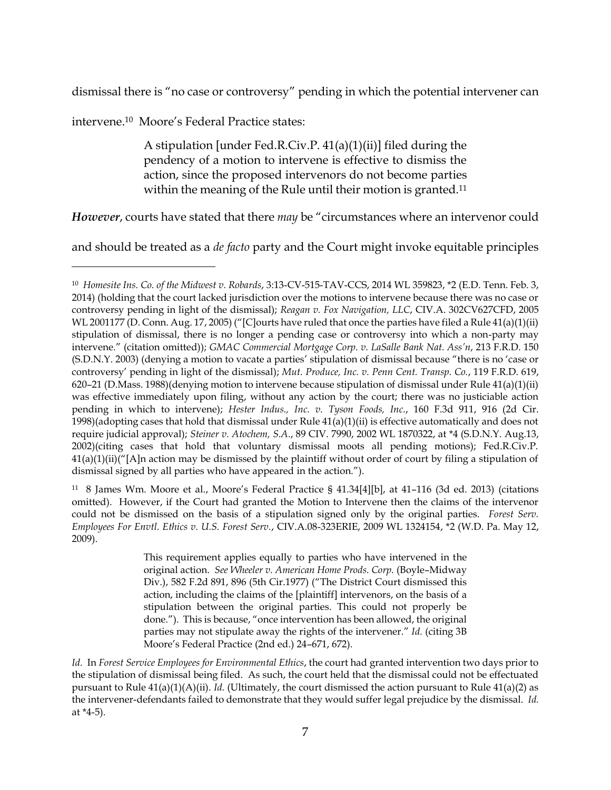dismissal there is "no case or controversy" pending in which the potential intervener can

intervene.10 Moore's Federal Practice states:

 $\overline{a}$ 

A stipulation [under Fed.R.Civ.P. 41(a)(1)(ii)] filed during the pendency of a motion to intervene is effective to dismiss the action, since the proposed intervenors do not become parties within the meaning of the Rule until their motion is granted.<sup>11</sup>

*However*, courts have stated that there *may* be "circumstances where an intervenor could

and should be treated as a *de facto* party and the Court might invoke equitable principles

11 8 James Wm. Moore et al., Moore's Federal Practice § 41.34[4][b], at 41–116 (3d ed. 2013) (citations omitted). However, if the Court had granted the Motion to Intervene then the claims of the intervenor could not be dismissed on the basis of a stipulation signed only by the original parties. *Forest Serv. Employees For Envtl. Ethics v. U.S. Forest Serv.*, CIV.A.08-323ERIE, 2009 WL 1324154, \*2 (W.D. Pa. May 12, 2009).

<sup>10</sup> *Homesite Ins. Co. of the Midwest v. Robards*, 3:13-CV-515-TAV-CCS, 2014 WL 359823, \*2 (E.D. Tenn. Feb. 3, 2014) (holding that the court lacked jurisdiction over the motions to intervene because there was no case or controversy pending in light of the dismissal); *Reagan v. Fox Navigation, LLC*, CIV.A. 302CV627CFD, 2005 WL 2001177 (D. Conn. Aug. 17, 2005) ("[C]ourts have ruled that once the parties have filed a Rule 41(a)(1)(ii) stipulation of dismissal, there is no longer a pending case or controversy into which a non-party may intervene." (citation omitted)); *GMAC Commercial Mortgage Corp. v. LaSalle Bank Nat. Ass'n*, 213 F.R.D. 150 (S.D.N.Y. 2003) (denying a motion to vacate a parties' stipulation of dismissal because "there is no 'case or controversy' pending in light of the dismissal); *Mut. Produce, Inc. v. Penn Cent. Transp. Co.*, 119 F.R.D. 619, 620–21 (D.Mass. 1988)(denying motion to intervene because stipulation of dismissal under Rule 41(a)(1)(ii) was effective immediately upon filing, without any action by the court; there was no justiciable action pending in which to intervene); *Hester Indus., Inc. v. Tyson Foods, Inc.*, 160 F.3d 911, 916 (2d Cir. 1998)(adopting cases that hold that dismissal under Rule 41(a)(1)(ii) is effective automatically and does not require judicial approval); *Steiner v. Atochem, S.A.*, 89 CIV. 7990, 2002 WL 1870322, at \*4 (S.D.N.Y. Aug.13, 2002)(citing cases that hold that voluntary dismissal moots all pending motions); Fed.R.Civ.P.  $41(a)(1)(ii)'$ [A]n action may be dismissed by the plaintiff without order of court by filing a stipulation of dismissal signed by all parties who have appeared in the action.").

This requirement applies equally to parties who have intervened in the original action. *See Wheeler v. American Home Prods. Corp.* (Boyle–Midway Div.), 582 F.2d 891, 896 (5th Cir.1977) ("The District Court dismissed this action, including the claims of the [plaintiff] intervenors, on the basis of a stipulation between the original parties. This could not properly be done."). This is because, "once intervention has been allowed, the original parties may not stipulate away the rights of the intervener." *Id.* (citing 3B Moore's Federal Practice (2nd ed.) 24–671, 672).

*Id.* In *Forest Service Employees for Environmental Ethics*, the court had granted intervention two days prior to the stipulation of dismissal being filed. As such, the court held that the dismissal could not be effectuated pursuant to Rule 41(a)(1)(A)(ii). *Id.* (Ultimately, the court dismissed the action pursuant to Rule 41(a)(2) as the intervener-defendants failed to demonstrate that they would suffer legal prejudice by the dismissal. *Id.* at \*4-5).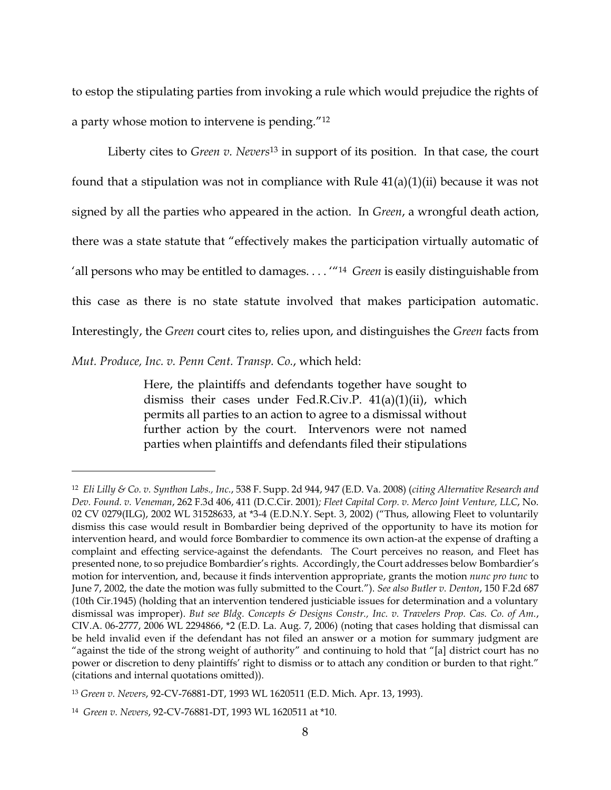to estop the stipulating parties from invoking a rule which would prejudice the rights of a party whose motion to intervene is pending."<sup>12</sup>

Liberty cites to *Green v. Nevers*<sup>13</sup> in support of its position. In that case, the court found that a stipulation was not in compliance with Rule  $41(a)(1)(ii)$  because it was not signed by all the parties who appeared in the action. In *Green*, a wrongful death action, there was a state statute that "effectively makes the participation virtually automatic of 'all persons who may be entitled to damages. . . . '"<sup>14</sup> *Green* is easily distinguishable from this case as there is no state statute involved that makes participation automatic. Interestingly, the *Green* court cites to, relies upon, and distinguishes the *Green* facts from

*Mut. Produce, Inc. v. Penn Cent. Transp. Co.*, which held:

 $\overline{a}$ 

Here, the plaintiffs and defendants together have sought to dismiss their cases under Fed.R.Civ.P. 41(a)(1)(ii), which permits all parties to an action to agree to a dismissal without further action by the court. Intervenors were not named parties when plaintiffs and defendants filed their stipulations

<sup>12</sup> *Eli Lilly & Co. v. Synthon Labs., Inc.*, 538 F. Supp. 2d 944, 947 (E.D. Va. 2008) (*citing Alternative Research and Dev. Found. v. Veneman*, 262 F.3d 406, 411 (D.C.Cir. 2001)*; Fleet Capital Corp. v. Merco Joint Venture, LLC*, No. 02 CV 0279(ILG), 2002 WL 31528633, at \*3-4 (E.D.N.Y. Sept. 3, 2002) ("Thus, allowing Fleet to voluntarily dismiss this case would result in Bombardier being deprived of the opportunity to have its motion for intervention heard, and would force Bombardier to commence its own action-at the expense of drafting a complaint and effecting service-against the defendants. The Court perceives no reason, and Fleet has presented none, to so prejudice Bombardier's rights. Accordingly, the Court addresses below Bombardier's motion for intervention, and, because it finds intervention appropriate, grants the motion *nunc pro tunc* to June 7, 2002, the date the motion was fully submitted to the Court."). *See also Butler v. Denton*, 150 F.2d 687 (10th Cir.1945) (holding that an intervention tendered justiciable issues for determination and a voluntary dismissal was improper). *But see Bldg. Concepts & Designs Constr., Inc. v. Travelers Prop. Cas. Co. of Am.*, CIV.A. 06-2777, 2006 WL 2294866, \*2 (E.D. La. Aug. 7, 2006) (noting that cases holding that dismissal can be held invalid even if the defendant has not filed an answer or a motion for summary judgment are "against the tide of the strong weight of authority" and continuing to hold that "[a] district court has no power or discretion to deny plaintiffs' right to dismiss or to attach any condition or burden to that right." (citations and internal quotations omitted)).

<sup>13</sup> *Green v. Nevers*, 92-CV-76881-DT, 1993 WL 1620511 (E.D. Mich. Apr. 13, 1993).

<sup>14</sup> *Green v. Nevers*, 92-CV-76881-DT, 1993 WL 1620511 at \*10.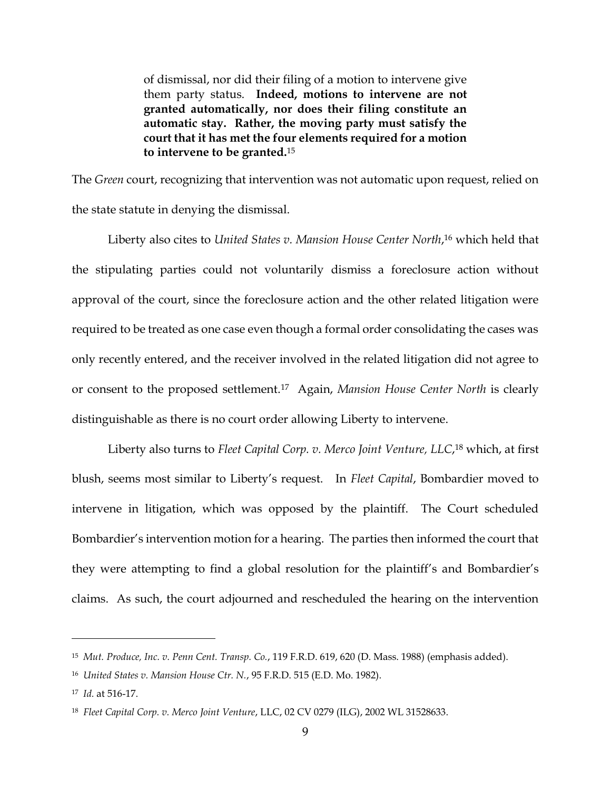of dismissal, nor did their filing of a motion to intervene give them party status. **Indeed, motions to intervene are not granted automatically, nor does their filing constitute an automatic stay. Rather, the moving party must satisfy the court that it has met the four elements required for a motion to intervene to be granted.**<sup>15</sup>

The *Green* court, recognizing that intervention was not automatic upon request, relied on the state statute in denying the dismissal.

Liberty also cites to *United States v. Mansion House Center North*, <sup>16</sup> which held that the stipulating parties could not voluntarily dismiss a foreclosure action without approval of the court, since the foreclosure action and the other related litigation were required to be treated as one case even though a formal order consolidating the cases was only recently entered, and the receiver involved in the related litigation did not agree to or consent to the proposed settlement.<sup>17</sup> Again, *Mansion House Center North* is clearly distinguishable as there is no court order allowing Liberty to intervene.

Liberty also turns to *Fleet Capital Corp. v. Merco Joint Venture, LLC*, <sup>18</sup> which, at first blush, seems most similar to Liberty's request. In *Fleet Capital*, Bombardier moved to intervene in litigation, which was opposed by the plaintiff. The Court scheduled Bombardier's intervention motion for a hearing. The parties then informed the court that they were attempting to find a global resolution for the plaintiff's and Bombardier's claims. As such, the court adjourned and rescheduled the hearing on the intervention

<sup>15</sup> *Mut. Produce, Inc. v. Penn Cent. Transp. Co.*, 119 F.R.D. 619, 620 (D. Mass. 1988) (emphasis added).

<sup>16</sup> *United States v. Mansion House Ctr. N.*, 95 F.R.D. 515 (E.D. Mo. 1982).

<sup>17</sup> *Id.* at 516-17.

<sup>18</sup> *Fleet Capital Corp. v. Merco Joint Venture*, LLC, 02 CV 0279 (ILG), 2002 WL 31528633.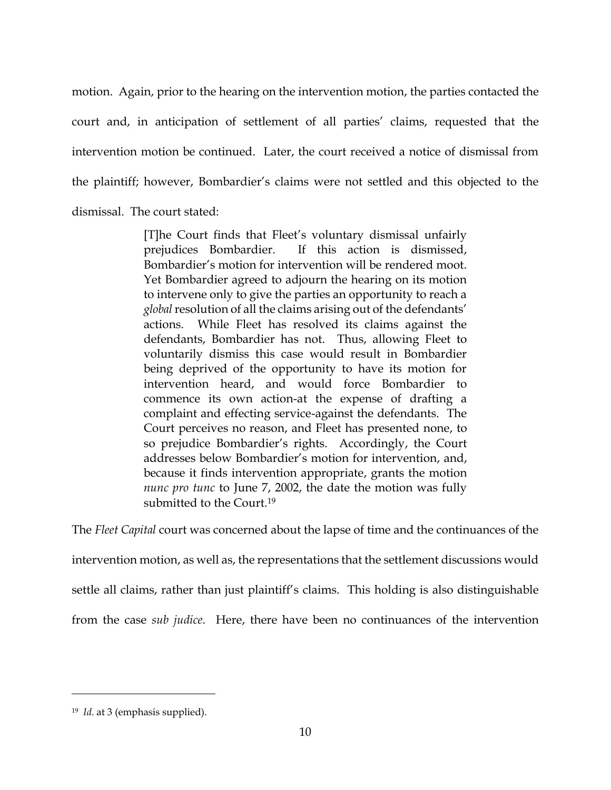motion. Again, prior to the hearing on the intervention motion, the parties contacted the court and, in anticipation of settlement of all parties' claims, requested that the intervention motion be continued. Later, the court received a notice of dismissal from the plaintiff; however, Bombardier's claims were not settled and this objected to the dismissal. The court stated:

> [T]he Court finds that Fleet's voluntary dismissal unfairly prejudices Bombardier. If this action is dismissed, Bombardier's motion for intervention will be rendered moot. Yet Bombardier agreed to adjourn the hearing on its motion to intervene only to give the parties an opportunity to reach a *global*resolution of all the claims arising out of the defendants' actions. While Fleet has resolved its claims against the defendants, Bombardier has not. Thus, allowing Fleet to voluntarily dismiss this case would result in Bombardier being deprived of the opportunity to have its motion for intervention heard, and would force Bombardier to commence its own action-at the expense of drafting a complaint and effecting service-against the defendants. The Court perceives no reason, and Fleet has presented none, to so prejudice Bombardier's rights. Accordingly, the Court addresses below Bombardier's motion for intervention, and, because it finds intervention appropriate, grants the motion *nunc pro tunc* to June 7, 2002, the date the motion was fully submitted to the Court<sup>19</sup>

The *Fleet Capital* court was concerned about the lapse of time and the continuances of the intervention motion, as well as, the representations that the settlement discussions would settle all claims, rather than just plaintiff's claims. This holding is also distinguishable from the case *sub judice*. Here, there have been no continuances of the intervention

<sup>19</sup> *Id.* at 3 (emphasis supplied).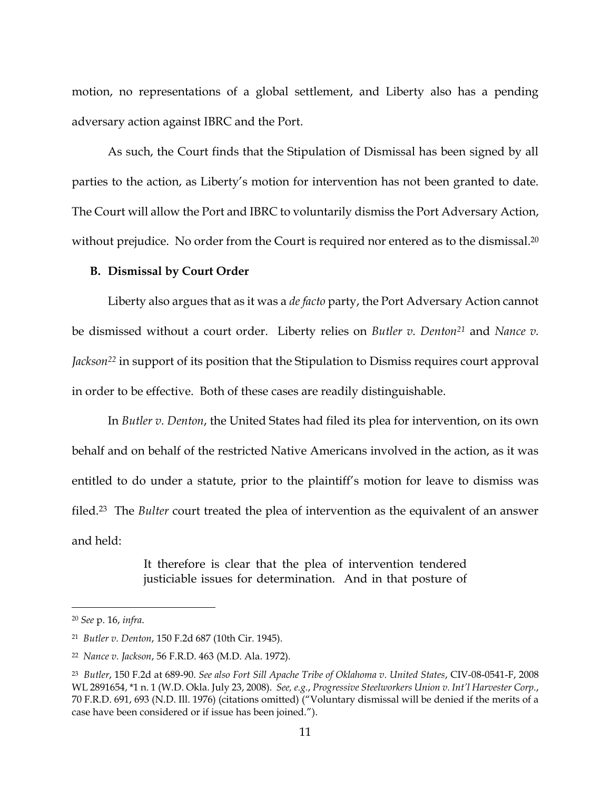motion, no representations of a global settlement, and Liberty also has a pending adversary action against IBRC and the Port.

As such, the Court finds that the Stipulation of Dismissal has been signed by all parties to the action, as Liberty's motion for intervention has not been granted to date. The Court will allow the Port and IBRC to voluntarily dismiss the Port Adversary Action, without prejudice. No order from the Court is required nor entered as to the dismissal. 20

#### **B. Dismissal by Court Order**

Liberty also argues that as it was a *de facto* party, the Port Adversary Action cannot be dismissed without a court order. Liberty relies on *Butler v. Denton<sup>21</sup>* and *Nance v. Jackson<sup>22</sup>* in support of its position that the Stipulation to Dismiss requires court approval in order to be effective. Both of these cases are readily distinguishable.

In *Butler v. Denton*, the United States had filed its plea for intervention, on its own behalf and on behalf of the restricted Native Americans involved in the action, as it was entitled to do under a statute, prior to the plaintiff's motion for leave to dismiss was filed. <sup>23</sup> The *Bulter* court treated the plea of intervention as the equivalent of an answer and held:

> It therefore is clear that the plea of intervention tendered justiciable issues for determination. And in that posture of

<sup>20</sup> *See* p. 16, *infra*.

<sup>21</sup> *Butler v. Denton*, 150 F.2d 687 (10th Cir. 1945).

<sup>22</sup> *Nance v. Jackson*, 56 F.R.D. 463 (M.D. Ala. 1972).

<sup>23</sup> *Butler*, 150 F.2d at 689-90. *See also Fort Sill Apache Tribe of Oklahoma v. United States*, CIV-08-0541-F, 2008 WL 2891654, \*1 n. 1 (W.D. Okla. July 23, 2008). *See, e.g.*, *Progressive Steelworkers Union v. Int'l Harvester Corp.*, 70 F.R.D. 691, 693 (N.D. Ill. 1976) (citations omitted) ("Voluntary dismissal will be denied if the merits of a case have been considered or if issue has been joined.").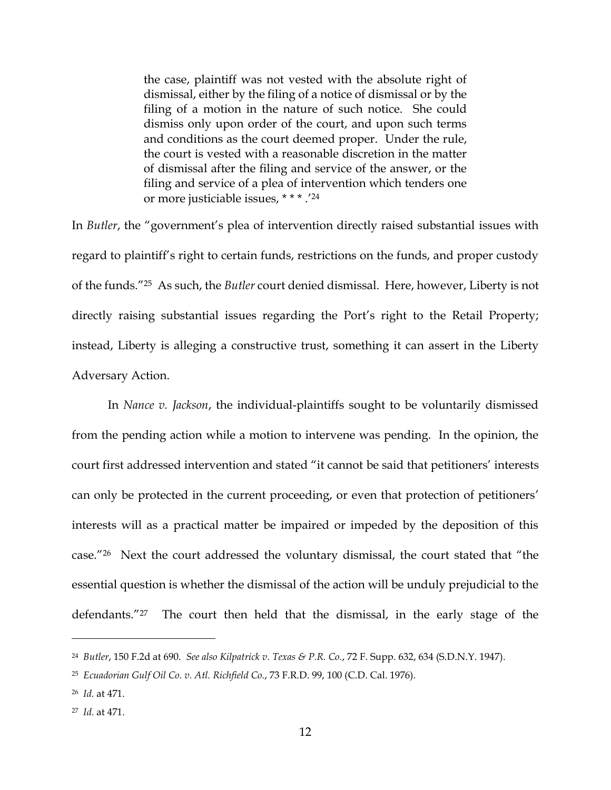the case, plaintiff was not vested with the absolute right of dismissal, either by the filing of a notice of dismissal or by the filing of a motion in the nature of such notice. She could dismiss only upon order of the court, and upon such terms and conditions as the court deemed proper. Under the rule, the court is vested with a reasonable discretion in the matter of dismissal after the filing and service of the answer, or the filing and service of a plea of intervention which tenders one or more justiciable issues, \* \* \* .' 24

In *Butler*, the "government's plea of intervention directly raised substantial issues with regard to plaintiff's right to certain funds, restrictions on the funds, and proper custody of the funds."25 As such, the *Butler* court denied dismissal. Here, however, Liberty is not directly raising substantial issues regarding the Port's right to the Retail Property; instead, Liberty is alleging a constructive trust, something it can assert in the Liberty Adversary Action.

In *Nance v. Jackson*, the individual-plaintiffs sought to be voluntarily dismissed from the pending action while a motion to intervene was pending. In the opinion, the court first addressed intervention and stated "it cannot be said that petitioners' interests can only be protected in the current proceeding, or even that protection of petitioners' interests will as a practical matter be impaired or impeded by the deposition of this case."26 Next the court addressed the voluntary dismissal, the court stated that "the essential question is whether the dismissal of the action will be unduly prejudicial to the defendants."27 The court then held that the dismissal, in the early stage of the

<sup>24</sup> *Butler*, 150 F.2d at 690. *See also Kilpatrick v. Texas & P.R. Co.*, 72 F. Supp. 632, 634 (S.D.N.Y. 1947).

<sup>25</sup> *Ecuadorian Gulf Oil Co. v. Atl. Richfield Co.*, 73 F.R.D. 99, 100 (C.D. Cal. 1976).

<sup>26</sup> *Id.* at 471.

<sup>27</sup> *Id.* at 471.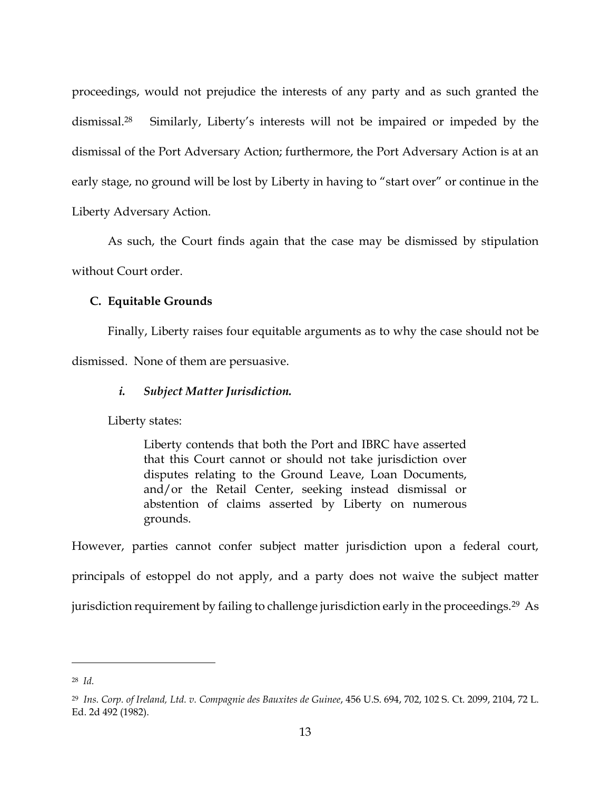proceedings, would not prejudice the interests of any party and as such granted the dismissal.28 Similarly, Liberty's interests will not be impaired or impeded by the dismissal of the Port Adversary Action; furthermore, the Port Adversary Action is at an early stage, no ground will be lost by Liberty in having to "start over" or continue in the Liberty Adversary Action.

As such, the Court finds again that the case may be dismissed by stipulation without Court order.

## **C. Equitable Grounds**

Finally, Liberty raises four equitable arguments as to why the case should not be dismissed. None of them are persuasive.

# *i. Subject Matter Jurisdiction.*

Liberty states:

Liberty contends that both the Port and IBRC have asserted that this Court cannot or should not take jurisdiction over disputes relating to the Ground Leave, Loan Documents, and/or the Retail Center, seeking instead dismissal or abstention of claims asserted by Liberty on numerous grounds.

However, parties cannot confer subject matter jurisdiction upon a federal court, principals of estoppel do not apply, and a party does not waive the subject matter jurisdiction requirement by failing to challenge jurisdiction early in the proceedings.<sup>29</sup> As

<sup>28</sup> *Id.*

<sup>29</sup> *Ins. Corp. of Ireland, Ltd. v. Compagnie des Bauxites de Guinee*, 456 U.S. 694, 702, 102 S. Ct. 2099, 2104, 72 L. Ed. 2d 492 (1982).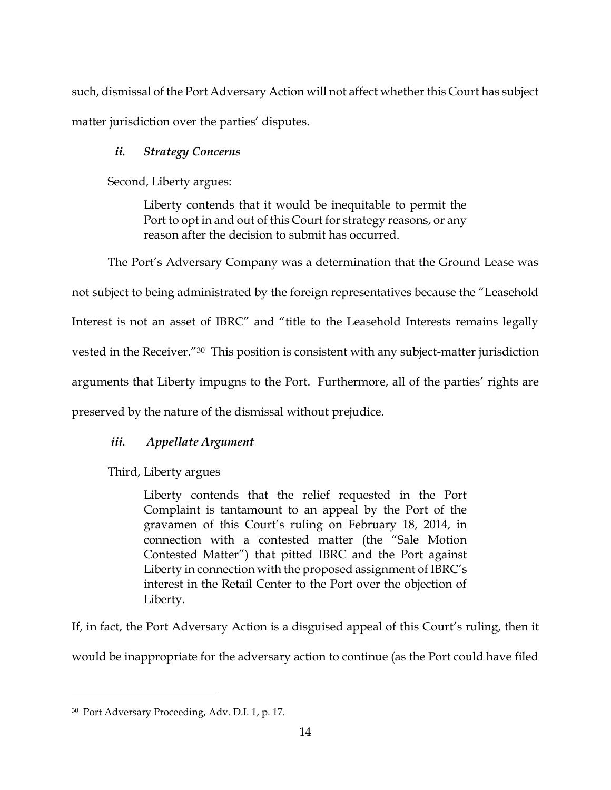such, dismissal of the Port Adversary Action will not affect whether this Court has subject matter jurisdiction over the parties' disputes.

# *ii. Strategy Concerns*

Second, Liberty argues:

Liberty contends that it would be inequitable to permit the Port to opt in and out of this Court for strategy reasons, or any reason after the decision to submit has occurred.

The Port's Adversary Company was a determination that the Ground Lease was not subject to being administrated by the foreign representatives because the "Leasehold Interest is not an asset of IBRC" and "title to the Leasehold Interests remains legally vested in the Receiver."30 This position is consistent with any subject-matter jurisdiction arguments that Liberty impugns to the Port. Furthermore, all of the parties' rights are preserved by the nature of the dismissal without prejudice.

# *iii. Appellate Argument*

Third, Liberty argues

Liberty contends that the relief requested in the Port Complaint is tantamount to an appeal by the Port of the gravamen of this Court's ruling on February 18, 2014, in connection with a contested matter (the "Sale Motion Contested Matter") that pitted IBRC and the Port against Liberty in connection with the proposed assignment of IBRC's interest in the Retail Center to the Port over the objection of Liberty.

If, in fact, the Port Adversary Action is a disguised appeal of this Court's ruling, then it would be inappropriate for the adversary action to continue (as the Port could have filed

<sup>30</sup> Port Adversary Proceeding, Adv. D.I. 1, p. 17.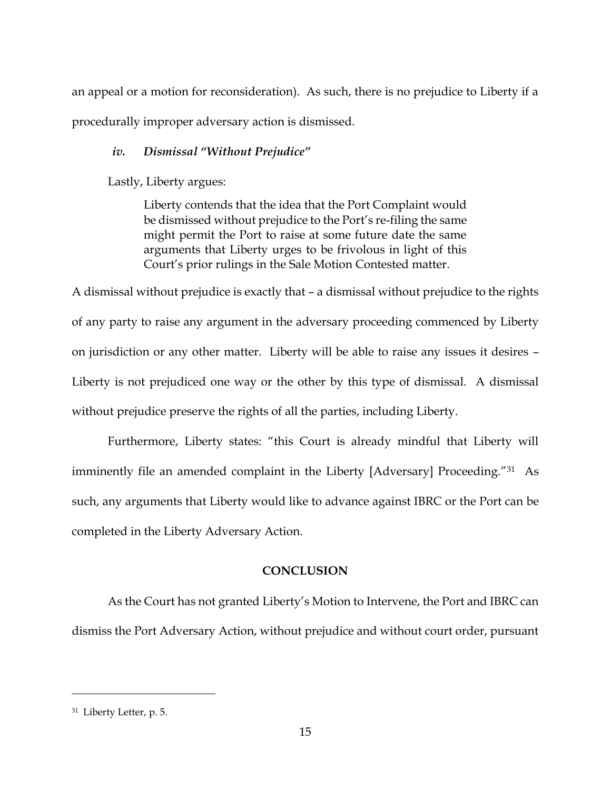an appeal or a motion for reconsideration). As such, there is no prejudice to Liberty if a procedurally improper adversary action is dismissed.

# *iv. Dismissal "Without Prejudice"*

Lastly, Liberty argues:

Liberty contends that the idea that the Port Complaint would be dismissed without prejudice to the Port's re-filing the same might permit the Port to raise at some future date the same arguments that Liberty urges to be frivolous in light of this Court's prior rulings in the Sale Motion Contested matter.

A dismissal without prejudice is exactly that – a dismissal without prejudice to the rights of any party to raise any argument in the adversary proceeding commenced by Liberty on jurisdiction or any other matter. Liberty will be able to raise any issues it desires – Liberty is not prejudiced one way or the other by this type of dismissal. A dismissal without prejudice preserve the rights of all the parties, including Liberty.

Furthermore, Liberty states: "this Court is already mindful that Liberty will imminently file an amended complaint in the Liberty [Adversary] Proceeding."31 As such, any arguments that Liberty would like to advance against IBRC or the Port can be completed in the Liberty Adversary Action.

# **CONCLUSION**

As the Court has not granted Liberty's Motion to Intervene, the Port and IBRC can dismiss the Port Adversary Action, without prejudice and without court order, pursuant

<sup>31</sup> Liberty Letter, p. 5.